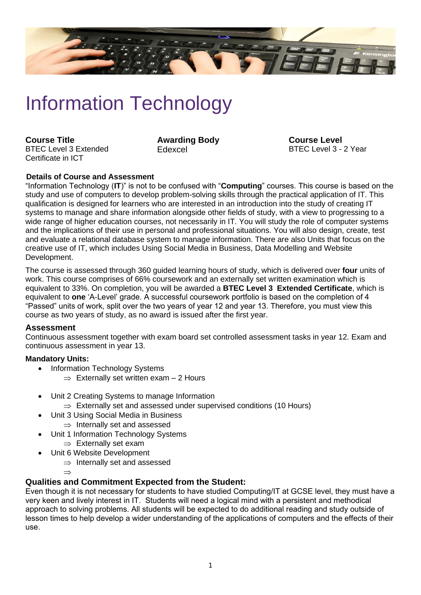

# Information Technology

**Course Title** BTEC Level 3 Extended Certificate in ICT

**Awarding Body** Edexcel

**Course Level** BTEC Level 3 - 2 Year

# **Details of Course and Assessment**

"Information Technology (**IT**)" is not to be confused with "**Computing**" courses. This course is based on the study and use of computers to develop problem-solving skills through the practical application of IT. This qualification is designed for learners who are interested in an introduction into the study of creating IT systems to manage and share information alongside other fields of study, with a view to progressing to a wide range of higher education courses, not necessarily in IT. You will study the role of computer systems and the implications of their use in personal and professional situations. You will also design, create, test and evaluate a relational database system to manage information. There are also Units that focus on the creative use of IT, which includes Using Social Media in Business, Data Modelling and Website Development.

The course is assessed through 360 guided learning hours of study, which is delivered over **four** units of work. This course comprises of 66% coursework and an externally set written examination which is equivalent to 33%. On completion, you will be awarded a **BTEC Level 3 Extended Certificate**, which is equivalent to **one** 'A-Level' grade. A successful coursework portfolio is based on the completion of 4 "Passed" units of work, split over the two years of year 12 and year 13. Therefore, you must view this course as two years of study, as no award is issued after the first year.

#### **Assessment**

Continuous assessment together with exam board set controlled assessment tasks in year 12. Exam and continuous assessment in year 13.

#### **Mandatory Units:**

- Information Technology Systems
	- $\Rightarrow$  Externally set written exam 2 Hours
- Unit 2 Creating Systems to manage Information
	- $\Rightarrow$  Externally set and assessed under supervised conditions (10 Hours)
- Unit 3 Using Social Media in Business
	- $\Rightarrow$  Internally set and assessed
- Unit 1 Information Technology Systems
	- $\Rightarrow$  Externally set exam
	- Unit 6 Website Development
		- $\Rightarrow$  Internally set and assessed

 $\Rightarrow$ 

# **Qualities and Commitment Expected from the Student:**

Even though it is not necessary for students to have studied Computing/IT at GCSE level, they must have a very keen and lively interest in IT. Students will need a logical mind with a persistent and methodical approach to solving problems. All students will be expected to do additional reading and study outside of lesson times to help develop a wider understanding of the applications of computers and the effects of their use.